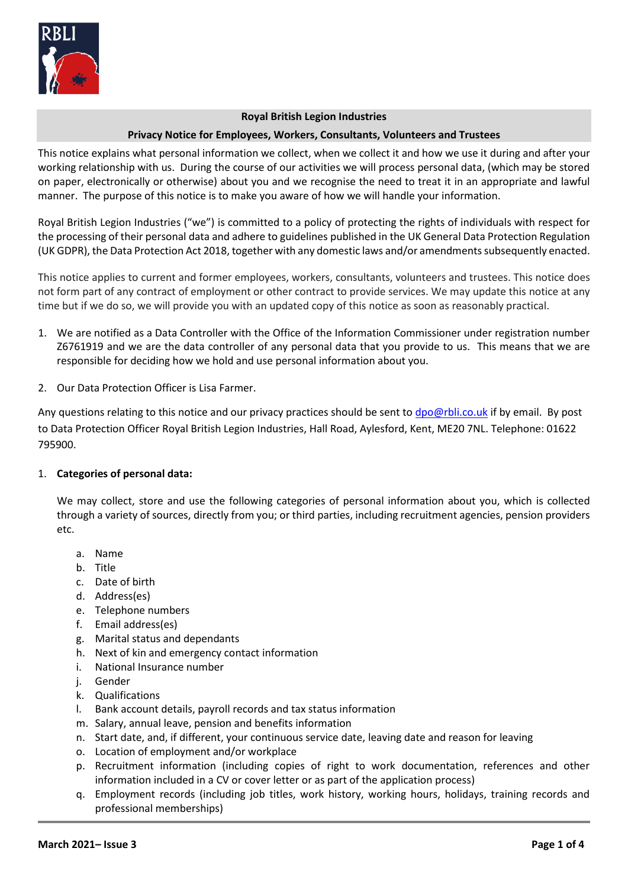

#### **Royal British Legion Industries**

### **Privacy Notice for Employees, Workers, Consultants, Volunteers and Trustees**

This notice explains what personal information we collect, when we collect it and how we use it during and after your working relationship with us. During the course of our activities we will process personal data, (which may be stored on paper, electronically or otherwise) about you and we recognise the need to treat it in an appropriate and lawful manner. The purpose of this notice is to make you aware of how we will handle your information.

Royal British Legion Industries ("we") is committed to a policy of protecting the rights of individuals with respect for the processing of their personal data and adhere to guidelines published in the UK General Data Protection Regulation (UK GDPR), the Data Protection Act 2018, together with any domestic laws and/or amendmentssubsequently enacted.

This notice applies to current and former employees, workers, consultants, volunteers and trustees. This notice does not form part of any contract of employment or other contract to provide services. We may update this notice at any time but if we do so, we will provide you with an updated copy of this notice as soon as reasonably practical.

- 1. We are notified as a Data Controller with the Office of the Information Commissioner under registration number Z6761919 and we are the data controller of any personal data that you provide to us. This means that we are responsible for deciding how we hold and use personal information about you.
- 2. Our Data Protection Officer is Lisa Farmer.

Any questions relating to this notice and our privacy practices should be sent t[o dpo@rbli.co.uk](mailto:dpo@rbli.co.uk) if by email. By post to Data Protection Officer Royal British Legion Industries, Hall Road, Aylesford, Kent, ME20 7NL. Telephone: 01622 795900.

### 1. **Categories of personal data:**

We may collect, store and use the following categories of personal information about you, which is collected through a variety of sources, directly from you; or third parties, including recruitment agencies, pension providers etc.

- a. Name
- b. Title
- c. Date of birth
- d. Address(es)
- e. Telephone numbers
- f. Email address(es)
- g. Marital status and dependants
- h. Next of kin and emergency contact information
- i. National Insurance number
- j. Gender
- k. Qualifications
- l. Bank account details, payroll records and tax status information
- m. Salary, annual leave, pension and benefits information
- n. Start date, and, if different, your continuous service date, leaving date and reason for leaving
- o. Location of employment and/or workplace
- p. Recruitment information (including copies of right to work documentation, references and other information included in a CV or cover letter or as part of the application process)
- q. Employment records (including job titles, work history, working hours, holidays, training records and professional memberships)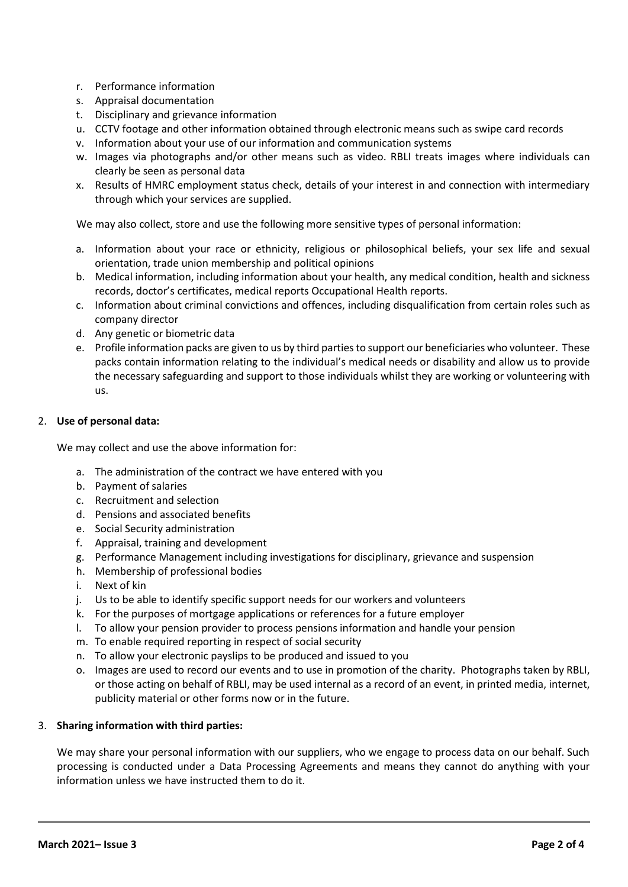- r. Performance information
- s. Appraisal documentation
- t. Disciplinary and grievance information
- u. CCTV footage and other information obtained through electronic means such as swipe card records
- v. Information about your use of our information and communication systems
- w. Images via photographs and/or other means such as video. RBLI treats images where individuals can clearly be seen as personal data
- x. Results of HMRC employment status check, details of your interest in and connection with intermediary through which your services are supplied.

We may also collect, store and use the following more sensitive types of personal information:

- a. Information about your race or ethnicity, religious or philosophical beliefs, your sex life and sexual orientation, trade union membership and political opinions
- b. Medical information, including information about your health, any medical condition, health and sickness records, doctor's certificates, medical reports Occupational Health reports.
- c. Information about criminal convictions and offences, including disqualification from certain roles such as company director
- d. Any genetic or biometric data
- e. Profile information packs are given to us by third parties to support our beneficiaries who volunteer. These packs contain information relating to the individual's medical needs or disability and allow us to provide the necessary safeguarding and support to those individuals whilst they are working or volunteering with us.

### 2. **Use of personal data:**

We may collect and use the above information for:

- a. The administration of the contract we have entered with you
- b. Payment of salaries
- c. Recruitment and selection
- d. Pensions and associated benefits
- e. Social Security administration
- f. Appraisal, training and development
- g. Performance Management including investigations for disciplinary, grievance and suspension
- h. Membership of professional bodies
- i. Next of kin
- j. Us to be able to identify specific support needs for our workers and volunteers
- k. For the purposes of mortgage applications or references for a future employer
- l. To allow your pension provider to process pensions information and handle your pension
- m. To enable required reporting in respect of social security
- n. To allow your electronic payslips to be produced and issued to you
- o. Images are used to record our events and to use in promotion of the charity. Photographs taken by RBLI, or those acting on behalf of RBLI, may be used internal as a record of an event, in printed media, internet, publicity material or other forms now or in the future.

### 3. **Sharing information with third parties:**

We may share your personal information with our suppliers, who we engage to process data on our behalf. Such processing is conducted under a Data Processing Agreements and means they cannot do anything with your information unless we have instructed them to do it.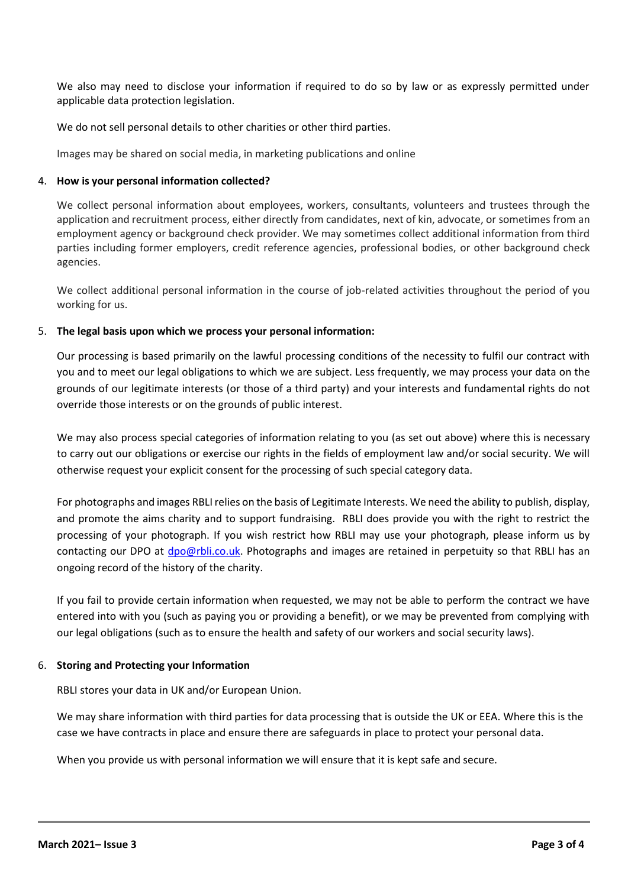We also may need to disclose your information if required to do so by law or as expressly permitted under applicable data protection legislation.

We do not sell personal details to other charities or other third parties.

Images may be shared on social media, in marketing publications and online

## 4. **How is your personal information collected?**

We collect personal information about employees, workers, consultants, volunteers and trustees through the application and recruitment process, either directly from candidates, next of kin, advocate, or sometimes from an employment agency or background check provider. We may sometimes collect additional information from third parties including former employers, credit reference agencies, professional bodies, or other background check agencies.

We collect additional personal information in the course of job-related activities throughout the period of you working for us.

# 5. **The legal basis upon which we process your personal information:**

Our processing is based primarily on the lawful processing conditions of the necessity to fulfil our contract with you and to meet our legal obligations to which we are subject. Less frequently, we may process your data on the grounds of our legitimate interests (or those of a third party) and your interests and fundamental rights do not override those interests or on the grounds of public interest.

We may also process special categories of information relating to you (as set out above) where this is necessary to carry out our obligations or exercise our rights in the fields of employment law and/or social security. We will otherwise request your explicit consent for the processing of such special category data.

For photographs and images RBLI relies on the basis of Legitimate Interests. We need the ability to publish, display, and promote the aims charity and to support fundraising. RBLI does provide you with the right to restrict the processing of your photograph. If you wish restrict how RBLI may use your photograph, please inform us by contacting our DPO at [dpo@rbli.co.uk.](mailto:dpo@rbli.co.uk) Photographs and images are retained in perpetuity so that RBLI has an ongoing record of the history of the charity.

If you fail to provide certain information when requested, we may not be able to perform the contract we have entered into with you (such as paying you or providing a benefit), or we may be prevented from complying with our legal obligations (such as to ensure the health and safety of our workers and social security laws).

## 6. **Storing and Protecting your Information**

RBLI stores your data in UK and/or European Union.

We may share information with third parties for data processing that is outside the UK or EEA. Where this is the case we have contracts in place and ensure there are safeguards in place to protect your personal data.

When you provide us with personal information we will ensure that it is kept safe and secure.